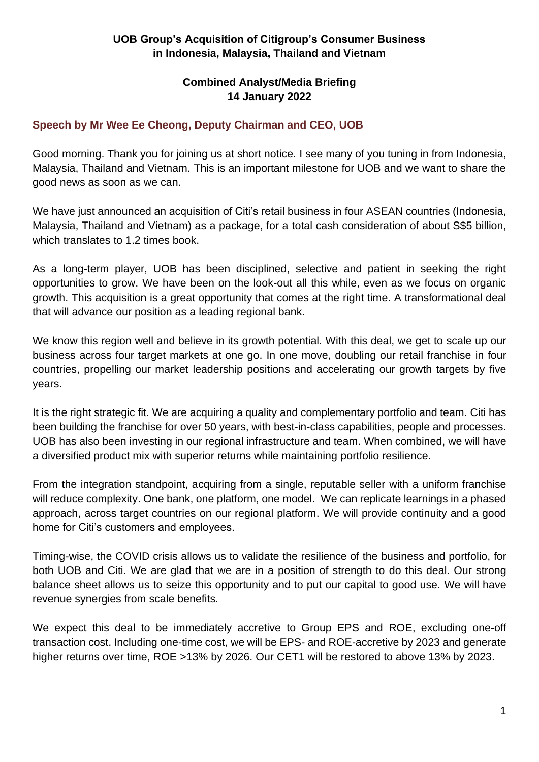## **UOB Group's Acquisition of Citigroup's Consumer Business in Indonesia, Malaysia, Thailand and Vietnam**

## **Combined Analyst/Media Briefing 14 January 2022**

## **Speech by Mr Wee Ee Cheong, Deputy Chairman and CEO, UOB**

Good morning. Thank you for joining us at short notice. I see many of you tuning in from Indonesia, Malaysia, Thailand and Vietnam. This is an important milestone for UOB and we want to share the good news as soon as we can.

We have just announced an acquisition of Citi's retail business in four ASEAN countries (Indonesia, Malaysia, Thailand and Vietnam) as a package, for a total cash consideration of about S\$5 billion, which translates to 1.2 times book.

As a long-term player, UOB has been disciplined, selective and patient in seeking the right opportunities to grow. We have been on the look-out all this while, even as we focus on organic growth. This acquisition is a great opportunity that comes at the right time. A transformational deal that will advance our position as a leading regional bank.

We know this region well and believe in its growth potential. With this deal, we get to scale up our business across four target markets at one go. In one move, doubling our retail franchise in four countries, propelling our market leadership positions and accelerating our growth targets by five years.

It is the right strategic fit. We are acquiring a quality and complementary portfolio and team. Citi has been building the franchise for over 50 years, with best-in-class capabilities, people and processes. UOB has also been investing in our regional infrastructure and team. When combined, we will have a diversified product mix with superior returns while maintaining portfolio resilience.

From the integration standpoint, acquiring from a single, reputable seller with a uniform franchise will reduce complexity. One bank, one platform, one model. We can replicate learnings in a phased approach, across target countries on our regional platform. We will provide continuity and a good home for Citi's customers and employees.

Timing-wise, the COVID crisis allows us to validate the resilience of the business and portfolio, for both UOB and Citi. We are glad that we are in a position of strength to do this deal. Our strong balance sheet allows us to seize this opportunity and to put our capital to good use. We will have revenue synergies from scale benefits.

We expect this deal to be immediately accretive to Group EPS and ROE, excluding one-off transaction cost. Including one-time cost, we will be EPS- and ROE-accretive by 2023 and generate higher returns over time, ROE >13% by 2026. Our CET1 will be restored to above 13% by 2023.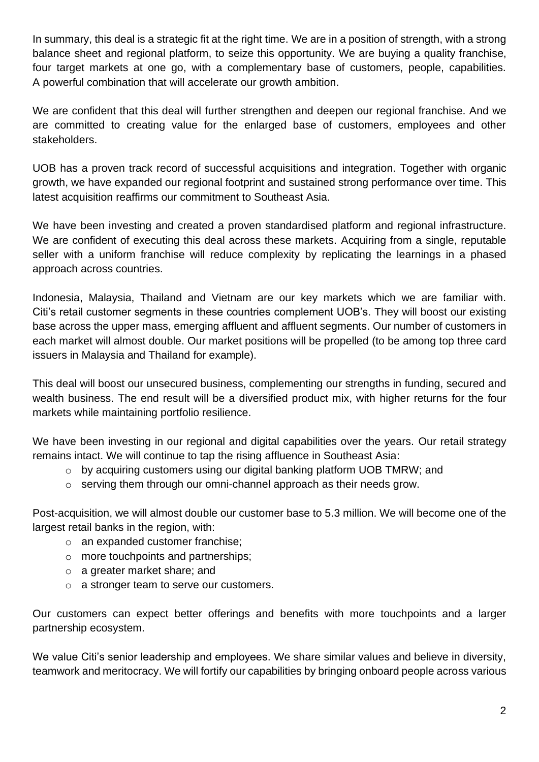In summary, this deal is a strategic fit at the right time. We are in a position of strength, with a strong balance sheet and regional platform, to seize this opportunity. We are buying a quality franchise, four target markets at one go, with a complementary base of customers, people, capabilities. A powerful combination that will accelerate our growth ambition.

We are confident that this deal will further strengthen and deepen our regional franchise. And we are committed to creating value for the enlarged base of customers, employees and other stakeholders.

UOB has a proven track record of successful acquisitions and integration. Together with organic growth, we have expanded our regional footprint and sustained strong performance over time. This latest acquisition reaffirms our commitment to Southeast Asia.

We have been investing and created a proven standardised platform and regional infrastructure. We are confident of executing this deal across these markets. Acquiring from a single, reputable seller with a uniform franchise will reduce complexity by replicating the learnings in a phased approach across countries.

Indonesia, Malaysia, Thailand and Vietnam are our key markets which we are familiar with. Citi's retail customer segments in these countries complement UOB's. They will boost our existing base across the upper mass, emerging affluent and affluent segments. Our number of customers in each market will almost double. Our market positions will be propelled (to be among top three card issuers in Malaysia and Thailand for example).

This deal will boost our unsecured business, complementing our strengths in funding, secured and wealth business. The end result will be a diversified product mix, with higher returns for the four markets while maintaining portfolio resilience.

We have been investing in our regional and digital capabilities over the years. Our retail strategy remains intact. We will continue to tap the rising affluence in Southeast Asia:

- o by acquiring customers using our digital banking platform UOB TMRW; and
- o serving them through our omni-channel approach as their needs grow.

Post-acquisition, we will almost double our customer base to 5.3 million. We will become one of the largest retail banks in the region, with:

- o an expanded customer franchise;
- o more touchpoints and partnerships;
- o a greater market share; and
- o a stronger team to serve our customers.

Our customers can expect better offerings and benefits with more touchpoints and a larger partnership ecosystem.

We value Citi's senior leadership and employees. We share similar values and believe in diversity, teamwork and meritocracy. We will fortify our capabilities by bringing onboard people across various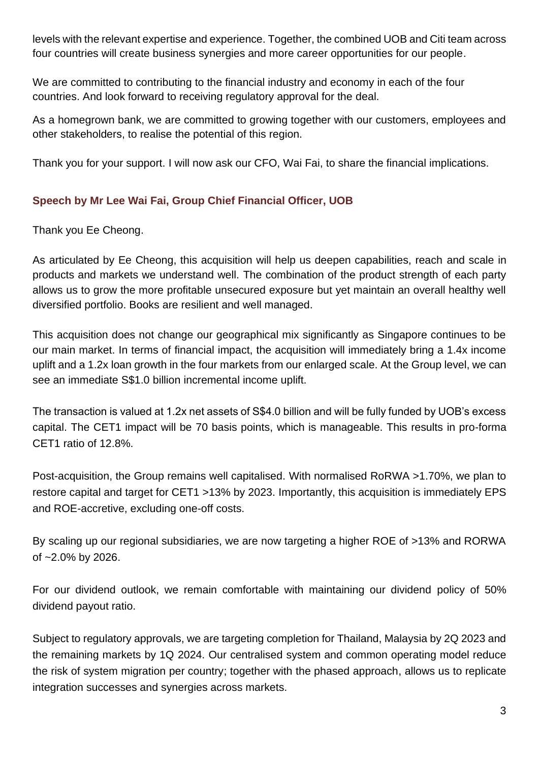levels with the relevant expertise and experience. Together, the combined UOB and Citi team across four countries will create business synergies and more career opportunities for our people.

We are committed to contributing to the financial industry and economy in each of the four countries. And look forward to receiving regulatory approval for the deal.

As a homegrown bank, we are committed to growing together with our customers, employees and other stakeholders, to realise the potential of this region.

Thank you for your support. I will now ask our CFO, Wai Fai, to share the financial implications.

## **Speech by Mr Lee Wai Fai, Group Chief Financial Officer, UOB**

Thank you Ee Cheong.

As articulated by Ee Cheong, this acquisition will help us deepen capabilities, reach and scale in products and markets we understand well. The combination of the product strength of each party allows us to grow the more profitable unsecured exposure but yet maintain an overall healthy well diversified portfolio. Books are resilient and well managed.

This acquisition does not change our geographical mix significantly as Singapore continues to be our main market. In terms of financial impact, the acquisition will immediately bring a 1.4x income uplift and a 1.2x loan growth in the four markets from our enlarged scale. At the Group level, we can see an immediate S\$1.0 billion incremental income uplift.

The transaction is valued at 1.2x net assets of S\$4.0 billion and will be fully funded by UOB's excess capital. The CET1 impact will be 70 basis points, which is manageable. This results in pro-forma CET1 ratio of 12.8%.

Post-acquisition, the Group remains well capitalised. With normalised RoRWA >1.70%, we plan to restore capital and target for CET1 >13% by 2023. Importantly, this acquisition is immediately EPS and ROE-accretive, excluding one-off costs.

By scaling up our regional subsidiaries, we are now targeting a higher ROE of >13% and RORWA of ~2.0% by 2026.

For our dividend outlook, we remain comfortable with maintaining our dividend policy of 50% dividend payout ratio.

Subject to regulatory approvals, we are targeting completion for Thailand, Malaysia by 2Q 2023 and the remaining markets by 1Q 2024. Our centralised system and common operating model reduce the risk of system migration per country; together with the phased approach, allows us to replicate integration successes and synergies across markets.